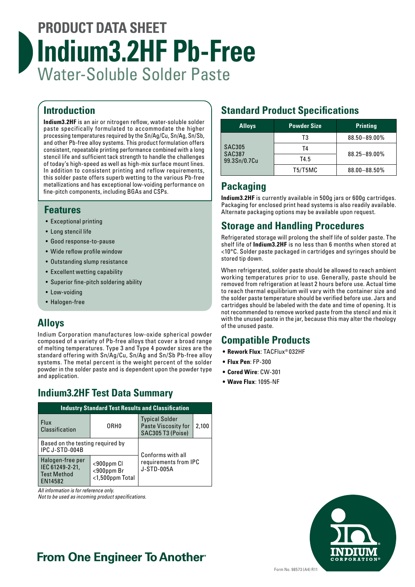# **PRODUCT DATA SHEET Indium3.2HF Pb-Free** Water-Soluble Solder Paste

# **Introduction**

**Indium3.2HF** is an air or nitrogen reflow, water-soluble solder paste specifically formulated to accommodate the higher processing temperatures required by the Sn/Ag/Cu, Sn/Ag, Sn/Sb, and other Pb-free alloy systems. This product formulation offers consistent, repeatable printing performance combined with a long stencil life and sufficient tack strength to handle the challenges of today's high-speed as well as high-mix surface mount lines. In addition to consistent printing and reflow requirements, this solder paste offers superb wetting to the various Pb-free metallizations and has exceptional low-voiding performance on fine-pitch components, including BGAs and CSPs.

## **Features**

- Exceptional printing
- Long stencil life
- Good response-to-pause
- Wide reflow profile window
- Outstanding slump resistance
- Excellent wetting capability
- Superior fine-pitch soldering ability
- Low-voiding
- Halogen-free

# **Alloys**

Indium Corporation manufactures low-oxide spherical powder composed of a variety of Pb-free alloys that cover a broad range of melting temperatures. Type 3 and Type 4 powder sizes are the standard offering with Sn/Ag/Cu, Sn/Ag and Sn/Sb Pb-free alloy systems. The metal percent is the weight percent of the solder powder in the solder paste and is dependent upon the powder type and application.

# **Indium3.2HF Test Data Summary**

| <b>Industry Standard Test Results and Classification</b>             |                                             |                                                                   |       |  |  |  |
|----------------------------------------------------------------------|---------------------------------------------|-------------------------------------------------------------------|-------|--|--|--|
| Flux<br>Classification                                               | ORH <sub>0</sub>                            | <b>Typical Solder</b><br>Paste Viscosity for<br>SAC305 T3 (Poise) | 2,100 |  |  |  |
| Based on the testing required by<br>IPC J-STD-004B                   |                                             | Conforms with all                                                 |       |  |  |  |
| Halogen-free per<br>IEC 61249-2-21,<br><b>Test Method</b><br>EN14582 | <900ppm Cl<br><900ppm Br<br><1,500ppm Total | requirements from IPC<br><b>J-STD-005A</b>                        |       |  |  |  |

*All information is for reference only.*

*Not to be used as incoming product specifications.*

# **Standard Product Specifications**

| <b>Alloys</b>                                  | <b>Powder Size</b> | <b>Printing</b> |  |
|------------------------------------------------|--------------------|-----------------|--|
| <b>SAC305</b><br><b>SAC387</b><br>99.3Sn/0.7Cu | T3                 | 88.50-89.00%    |  |
|                                                | T4                 | 88.25-89.00%    |  |
|                                                | T4.5               |                 |  |
|                                                | T5/T5MC            | 88.00-88.50%    |  |

# **Packaging**

**Indium3.2HF** is currently available in 500g jars or 600g cartridges. Packaging for enclosed print head systems is also readily available. Alternate packaging options may be available upon request.

# **Storage and Handling Procedures**

Refrigerated storage will prolong the shelf life of solder paste. The shelf life of **Indium3.2HF** is no less than 6 months when stored at <10°C. Solder paste packaged in cartridges and syringes should be stored tip down.

When refrigerated, solder paste should be allowed to reach ambient working temperatures prior to use. Generally, paste should be removed from refrigeration at least 2 hours before use. Actual time to reach thermal equilibrium will vary with the container size and the solder paste temperature should be verified before use. Jars and cartridges should be labeled with the date and time of opening. It is not recommended to remove worked paste from the stencil and mix it with the unused paste in the jar, because this may alter the rheology of the unused paste.

# **Compatible Products**

- **• Rework Flux**: TACFlux® 032HF
- **• Flux Pen**: FP-300
- **• Cored Wire**: CW-301
- **• Wave Flux**: 1095-NF



# **From One Engineer To Another**®